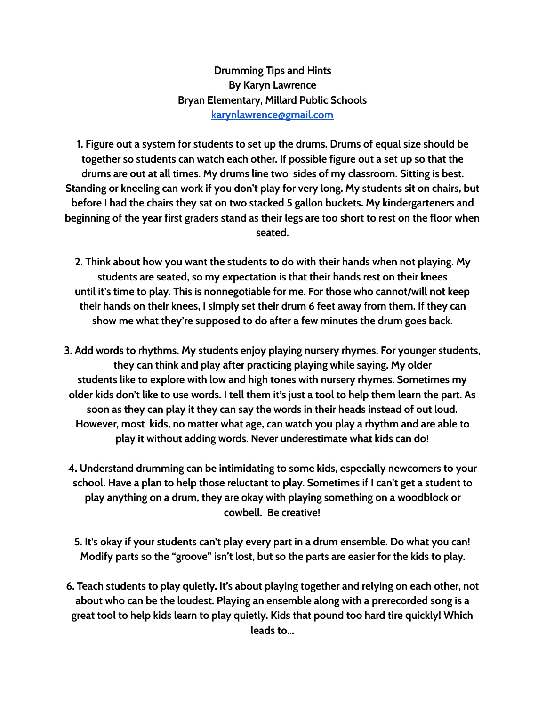**Drumming Tips and Hints By Karyn Lawrence Bryan Elementary, Millard Public Schools karynlawrence@gmail.com**

**1. Figure out a system for students to set up the drums. Drums of equal size should be together so students can watch each other. If possible figure out a set up so that the drums are out at all times. My drums line two sides of my classroom. Sitting is best. Standing or kneeling can work if you don't play for very long. My students sit on chairs, but before I had the chairs they sat on two stacked 5 gallon buckets. My kindergarteners and** beginning of the year first graders stand as their legs are too short to rest on the floor when **seated.**

**2. Think about how you want the students to do with their hands when not playing. My students are seated, so my expectation is that their hands rest on their knees until it's time to play. This is nonnegotiable for me. For those who cannot/will not keep their hands on their knees, I simply set their drum 6 feet away from them. If they can show me what they're supposed to do after a few minutes the drum goes back.**

**3. Add words to rhythms. My students enjoy playing nursery rhymes. For younger students, they can think and play after practicing playing while saying. My older students like to explore with low and high tones with nursery rhymes. Sometimes my** older kids don't like to use words. I tell them it's just a tool to help them learn the part. As **soon as they can play it they can say the words in their heads instead of out loud. However, most kids, no matter what age, can watch you play a rhythm and are able to play it without adding words. Never underestimate what kids can do!**

**4. Understand drumming can be intimidating to some kids, especially newcomers to your school. Have a plan to help those reluctant to play. Sometimes if I can't get a student to play anything on a drum, they are okay with playing something on a woodblock or cowbell. Be creative!**

**5. It's okay if your students can't play every part in a drum ensemble. Do what you can! Modify parts so the "groove" isn't lost, but so the parts are easier for the kids to play.**

**6. Teach students to play quietly. It's about playing together and relying on each other, not about who can be the loudest. Playing an ensemble along with a prerecorded song is a great tool to help kids learn to play quietly. Kids that pound too hard tire quickly! Which leads to...**